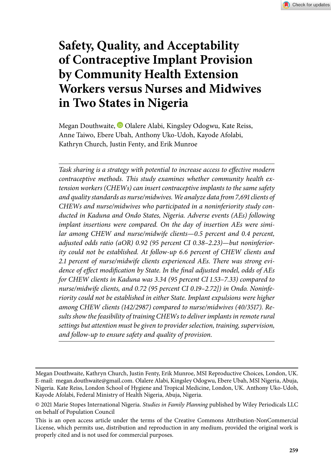

# **Safety, Quality, and Acceptability of Contraceptive Implant Provision by Community Health Extension Workers versus Nurses and Midwives in Two States in Nigeria**

Megan Douthwaite, <sup>D</sup> Olalere Alabi, Kingsley Odogwu, Kate Reiss, Anne Taiwo, Ebere Ubah, Anthony Uko-Udoh, Kayode Afolabi, Kathryn Church, Justin Fenty, and Erik Munroe

*Task sharing is a strategy with potential to increase access to effective modern contraceptive methods. This study examines whether community health extension workers (CHEWs) can insert contraceptive implants to the same safety and quality standards as nurse/midwives. We analyze data from , clients of CHEWs and nurse/midwives who participated in a noninferiority study conducted in Kaduna and Ondo States, Nigeria. Adverse events (AEs) following implant insertions were compared. On the day of insertion AEs were simi*lar among CHEW and nurse/midwife clients—0.5 percent and 0.4 percent, adjusted odds ratio (aOR) 0.92 (95 percent CI 0.38–2.23)—but noninferior*ity could not be established. At follow-up 6.6 percent of CHEW clients and . percent of nurse/midwife clients experienced AEs. There was strong evidence of effect modification by State. In the final adjusted model, odds of AEs for CHEW clients in Kaduna was 3.34 (95 percent CI 1.53–7.33) compared to* nurse/midwife clients, and 0.72 (95 percent CI 0.19–2.72]) in Ondo. Noninfe*riority could not be established in either State. Implant expulsions were higher* among CHEW clients (142/2987) compared to nurse/midwives (40/3517). Re*sults show the feasibility of training CHEWs to deliver implants in remote rural settings but attention must be given to provider selection, training, supervision, and follow-up to ensure safety and quality of provision.*

Megan Douthwaite, Kathryn Church, Justin Fenty, Erik Munroe, MSI Reproductive Choices, London, UK. E-mail: megan.douthwaite@gmail.com. Olalere Alabi, Kingsley Odogwu, Ebere Ubah, MSI Nigeria, Abuja, Nigeria. Kate Reiss, London School of Hygiene and Tropical Medicine, London, UK. Anthony Uko-Udoh, Kayode Afolabi, Federal Ministry of Health Nigeria, Abuja, Nigeria.

<sup>© 2021</sup> Marie Stopes International Nigeria. *Studies in Family Planning* published by Wiley Periodicals LLC on behalf of Population Council

This is an open access article under the terms of the [Creative Commons Attribution-NonCommercial](http://creativecommons.org/licenses/by-nc/4.0/) License, which permits use, distribution and reproduction in any medium, provided the original work is properly cited and is not used for commercial purposes.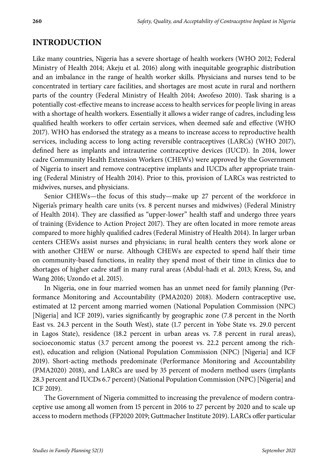## **INTRODUCTION**

Like many countries, Nigeria has a severe shortage of health workers (WHO 2012; Federal Ministry of Health 2014; Akeju et al. 2016) along with inequitable geographic distribution and an imbalance in the range of health worker skills. Physicians and nurses tend to be concentrated in tertiary care facilities, and shortages are most acute in rural and northern parts of the country (Federal Ministry of Health 2014; Awofeso 2010). Task sharing is a potentially cost-effective means to increase access to health services for people living in areas with a shortage of health workers. Essentially it allows a wider range of cadres, including less qualified health workers to offer certain services, when deemed safe and effective (WHO 2017). WHO has endorsed the strategy as a means to increase access to reproductive health services, including access to long acting reversible contraceptives (LARCs) (WHO 2017), defined here as implants and intrauterine contraceptive devices (IUCD). In 2014, lower cadre Community Health Extension Workers (CHEWs) were approved by the Government of Nigeria to insert and remove contraceptive implants and IUCDs after appropriate training (Federal Ministry of Health 2014). Prior to this, provision of LARCs was restricted to midwives, nurses, and physicians.

Senior CHEWs—the focus of this study—make up 27 percent of the workforce in Nigeria's primary health care units (vs. 8 percent nurses and midwives) (Federal Ministry of Health 2014). They are classified as "upper-lower" health staff and undergo three years of training (Evidence to Action Project 2017). They are often located in more remote areas compared to more highly qualified cadres (Federal Ministry of Health 2014). In larger urban centers CHEWs assist nurses and physicians; in rural health centers they work alone or with another CHEW or nurse. Although CHEWs are expected to spend half their time on community-based functions, in reality they spend most of their time in clinics due to shortages of higher cadre staff in many rural areas (Abdul-hadi et al. 2013; Kress, Su, and Wang 2016; Uzondo et al. 2015).

In Nigeria, one in four married women has an unmet need for family planning (Performance Monitoring and Accountability (PMA2020) 2018). Modern contraceptive use, estimated at 12 percent among married women (National Population Commission (NPC) [Nigeria] and ICF 2019), varies significantly by geographic zone (7.8 percent in the North East vs. 24.3 percent in the South West), state (1.7 percent in Yobe State vs. 29.0 percent in Lagos State), residence (18.2 percent in urban areas vs. 7.8 percent in rural areas), socioeconomic status (3.7 percent among the poorest vs. 22.2 percent among the richest), education and religion (National Population Commission (NPC) [Nigeria] and ICF 2019). Short-acting methods predominate (Performance Monitoring and Accountability (PMA2020) 2018), and LARCs are used by 35 percent of modern method users (implants 28.3 percent and IUCDs 6.7 percent) (National Population Commission (NPC) [Nigeria] and ICF 2019).

The Government of Nigeria committed to increasing the prevalence of modern contraceptive use among all women from 15 percent in 2016 to 27 percent by 2020 and to scale up access to modern methods (FP2020 2019; Guttmacher Institute 2019). LARCs offer particular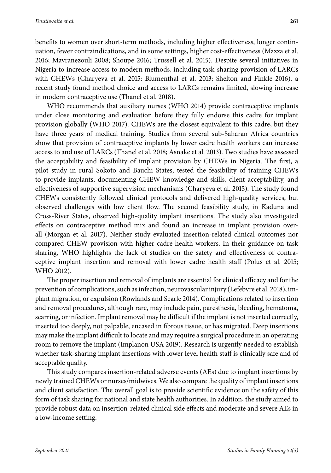benefits to women over short-term methods, including higher effectiveness, longer continuation, fewer contraindications, and in some settings, higher cost-effectiveness (Mazza et al. 2016; Mavranezouli 2008; Shoupe 2016; Trussell et al. 2015). Despite several initiatives in Nigeria to increase access to modern methods, including task-sharing provision of LARCs with CHEWs (Charyeva et al. 2015; Blumenthal et al. 2013; Shelton and Finkle 2016), a recent study found method choice and access to LARCs remains limited, slowing increase in modern contraceptive use (Thanel et al. 2018).

WHO recommends that auxiliary nurses (WHO 2014) provide contraceptive implants under close monitoring and evaluation before they fully endorse this cadre for implant provision globally (WHO 2017). CHEWs are the closest equivalent to this cadre, but they have three years of medical training. Studies from several sub-Saharan Africa countries show that provision of contraceptive implants by lower cadre health workers can increase access to and use of LARCs (Thanel et al. 2018; Asnake et al. 2013). Two studies have assessed the acceptability and feasibility of implant provision by CHEWs in Nigeria. The first, a pilot study in rural Sokoto and Bauchi States, tested the feasibility of training CHEWs to provide implants, documenting CHEW knowledge and skills, client acceptability, and effectiveness of supportive supervision mechanisms (Charyeva et al. 2015). The study found CHEWs consistently followed clinical protocols and delivered high-quality services, but observed challenges with low client flow. The second feasibility study, in Kaduna and Cross-River States, observed high-quality implant insertions. The study also investigated effects on contraceptive method mix and found an increase in implant provision overall (Morgan et al. 2017). Neither study evaluated insertion-related clinical outcomes nor compared CHEW provision with higher cadre health workers. In their guidance on task sharing, WHO highlights the lack of studies on the safety and effectiveness of contraceptive implant insertion and removal with lower cadre health staff (Polus et al. 2015; WHO 2012).

The proper insertion and removal of implants are essential for clinical efficacy and for the prevention of complications, such as infection, neurovascular injury (Lefebvre et al. 2018), implant migration, or expulsion (Rowlands and Searle 2014). Complications related to insertion and removal procedures, although rare, may include pain, paresthesia, bleeding, hematoma, scarring, or infection. Implant removal may be difficult if the implant is not inserted correctly, inserted too deeply, not palpable, encased in fibrous tissue, or has migrated. Deep insertions may make the implant difficult to locate and may require a surgical procedure in an operating room to remove the implant (Implanon USA 2019). Research is urgently needed to establish whether task-sharing implant insertions with lower level health staff is clinically safe and of acceptable quality.

This study compares insertion-related adverse events (AEs) due to implant insertions by newly trained CHEWs or nurses/midwives.We also compare the quality of implant insertions and client satisfaction. The overall goal is to provide scientific evidence on the safety of this form of task sharing for national and state health authorities. In addition, the study aimed to provide robust data on insertion-related clinical side effects and moderate and severe AEs in a low-income setting.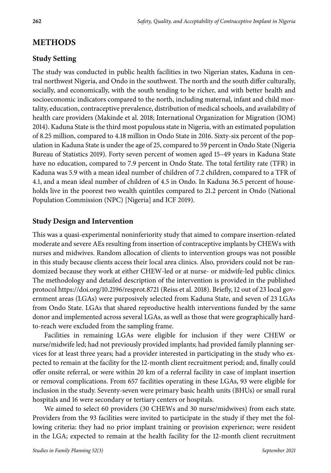## **METHODS**

#### **Study Setting**

The study was conducted in public health facilities in two Nigerian states, Kaduna in central northwest Nigeria, and Ondo in the southwest. The north and the south differ culturally, socially, and economically, with the south tending to be richer, and with better health and socioeconomic indicators compared to the north, including maternal, infant and child mortality, education, contraceptive prevalence, distribution of medical schools, and availability of health care providers (Makinde et al. 2018; International Organization for Migration (IOM) 2014). Kaduna State is the third most populous state in Nigeria, with an estimated population of 8.25 million, compared to 4.18 million in Ondo State in 2016. Sixty-six percent of the population in Kaduna State is under the age of 25, compared to 59 percent in Ondo State (Nigeria Bureau of Statistics 2019). Forty seven percent of women aged 15–49 years in Kaduna State have no education, compared to 7.9 percent in Ondo State. The total fertility rate (TFR) in Kaduna was 5.9 with a mean ideal number of children of 7.2 children, compared to a TFR of 4.1, and a mean ideal number of children of 4.5 in Ondo. In Kaduna 36.5 percent of households live in the poorest two wealth quintiles compared to 21.2 percent in Ondo (National Population Commission (NPC) [Nigeria] and ICF 2019).

#### **Study Design and Intervention**

This was a quasi-experimental noninferiority study that aimed to compare insertion-related moderate and severe AEs resulting from insertion of contraceptive implants by CHEWs with nurses and midwives. Random allocation of clients to intervention groups was not possible in this study because clients access their local area clinics. Also, providers could not be randomized because they work at either CHEW-led or at nurse- or midwife-led public clinics. The methodology and detailed description of the intervention is provided in the published protocol<https://doi.org/10.2196/resprot.8721> (Reiss et al. 2018). Briefly, 12 out of 23 local government areas (LGAs) were purposively selected from Kaduna State, and seven of 23 LGAs from Ondo State. LGAs that shared reproductive health interventions funded by the same donor and implemented across several LGAs, as well as those that were geographically hardto-reach were excluded from the sampling frame.

Facilities in remaining LGAs were eligible for inclusion if they were CHEW or nurse/midwife led; had not previously provided implants; had provided family planning services for at least three years; had a provider interested in participating in the study who expected to remain at the facility for the 12-month client recruitment period; and, finally could offer onsite referral, or were within 20 km of a referral facility in case of implant insertion or removal complications. From 657 facilities operating in these LGAs, 93 were eligible for inclusion in the study. Seventy-seven were primary basic health units (BHUs) or small rural hospitals and 16 were secondary or tertiary centers or hospitals.

We aimed to select 60 providers (30 CHEWs and 30 nurse/midwives) from each state. Providers from the 93 facilities were invited to participate in the study if they met the following criteria: they had no prior implant training or provision experience; were resident in the LGA; expected to remain at the health facility for the 12-month client recruitment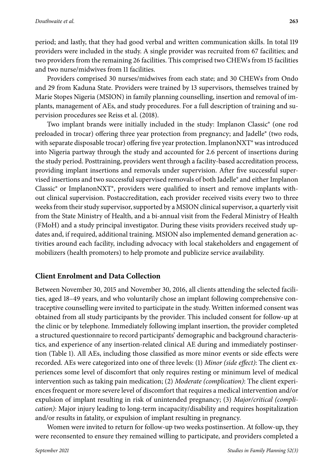period; and lastly, that they had good verbal and written communication skills. In total 119 providers were included in the study. A single provider was recruited from 67 facilities; and two providers from the remaining 26 facilities. This comprised two CHEWs from 15 facilities and two nurse/midwives from 11 facilities.

Providers comprised 30 nurses/midwives from each state; and 30 CHEWs from Ondo and 29 from Kaduna State. Providers were trained by 13 supervisors, themselves trained by Marie Stopes Nigeria (MSION) in family planning counselling, insertion and removal of implants, management of AEs, and study procedures. For a full description of training and supervision procedures see Reiss et al. (2018).

Two implant brands were initially included in the study: Implanon Classic® (one rod preloaded in trocar) offering three year protection from pregnancy; and Jadelle® (two rods, with separate disposable trocar) offering five year protection. Implanon $\text{NXT}^*$  was introduced into Nigeria partway through the study and accounted for 2.6 percent of insertions during the study period. Posttraining, providers went through a facility-based accreditation process, providing implant insertions and removals under supervision. After five successful supervised insertions and two successful supervised removals of both Jadelle® and either Implanon Classic® or ImplanonNXT®, providers were qualified to insert and remove implants without clinical supervision. Postaccreditation, each provider received visits every two to three weeks from their study supervisor, supported by a MSION clinical supervisor, a quarterly visit from the State Ministry of Health, and a bi-annual visit from the Federal Ministry of Health (FMoH) and a study principal investigator. During these visits providers received study updates and, if required, additional training. MSION also implemented demand generation activities around each facility, including advocacy with local stakeholders and engagement of mobilizers (health promoters) to help promote and publicize service availability.

#### **Client Enrolment and Data Collection**

Between November 30, 2015 and November 30, 2016, all clients attending the selected facilities, aged 18–49 years, and who voluntarily chose an implant following comprehensive contraceptive counselling were invited to participate in the study. Written informed consent was obtained from all study participants by the provider. This included consent for follow-up at the clinic or by telephone. Immediately following implant insertion, the provider completed a structured questionnaire to record participants' demographic and background characteristics, and experience of any insertion-related clinical AE during and immediately postinsertion (Table 1). All AEs, including those classified as more minor events or side effects were recorded. AEs were categorized into one of three levels: (1) *Minor (side effect)*: The client experiences some level of discomfort that only requires resting or minimum level of medical intervention such as taking pain medication; (2) *Moderate (complication)*: The client experiences frequent or more severe level of discomfort that requires a medical intervention and/or expulsion of implant resulting in risk of unintended pregnancy; (3) *Major/critical (complication)*: Major injury leading to long-term incapacity/disability and requires hospitalization and/or results in fatality, or expulsion of implant resulting in pregnancy.

Women were invited to return for follow-up two weeks postinsertion. At follow-up, they were reconsented to ensure they remained willing to participate, and providers completed a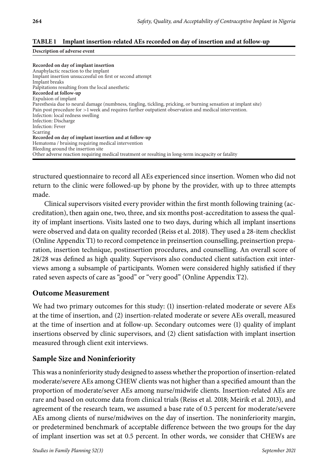#### **TABLE Implant insertion-related AEs recorded on day of insertion and at follow-up**

#### **Description of adverse event**

**Recorded on day of implant insertion** Anaphylactic reaction to the implant Implant insertion unsuccessful on first or second attempt Implant breaks Palpitations resulting from the local anesthetic **Recorded at follow-up** Expulsion of implant Paresthesia due to neural damage (numbness, tingling, tickling, pricking, or burning sensation at implant site) Pain post procedure for >1 week and requires further outpatient observation and medical intervention. Infection: local redness swelling Infection: Discharge Infection: Fever Scarring **Recorded on day of implant insertion and at follow-up** Hematoma / bruising requiring medical intervention Bleeding around the insertion site Other adverse reaction requiring medical treatment or resulting in long-term incapacity or fatality

structured questionnaire to record all AEs experienced since insertion. Women who did not return to the clinic were followed-up by phone by the provider, with up to three attempts made.

Clinical supervisors visited every provider within the first month following training (accreditation), then again one, two, three, and six months post-accreditation to assess the quality of implant insertions. Visits lasted one to two days, during which all implant insertions were observed and data on quality recorded (Reiss et al. 2018). They used a 28-item checklist (Online Appendix T1) to record competence in preinsertion counselling, preinsertion preparation, insertion technique, postinsertion procedures, and counselling. An overall score of 28/28 was defined as high quality. Supervisors also conducted client satisfaction exit interviews among a subsample of participants. Women were considered highly satisfied if they rated seven aspects of care as "good" or "very good" (Online Appendix T2).

#### **Outcome Measurement**

We had two primary outcomes for this study: (1) insertion-related moderate or severe AEs at the time of insertion, and (2) insertion-related moderate or severe AEs overall, measured at the time of insertion and at follow-up. Secondary outcomes were (1) quality of implant insertions observed by clinic supervisors, and (2) client satisfaction with implant insertion measured through client exit interviews.

#### **Sample Size and Noninferiority**

This was a noninferiority study designed to assess whether the proportion of insertion-related moderate/severe AEs among CHEW clients was not higher than a specified amount than the proportion of moderate/sever AEs among nurse/midwife clients. Insertion-related AEs are rare and based on outcome data from clinical trials (Reiss et al. 2018; Meirik et al. 2013), and agreement of the research team, we assumed a base rate of 0.5 percent for moderate/severe AEs among clients of nurse/midwives on the day of insertion. The noninferiority margin, or predetermined benchmark of acceptable difference between the two groups for the day of implant insertion was set at 0.5 percent. In other words, we consider that CHEWs are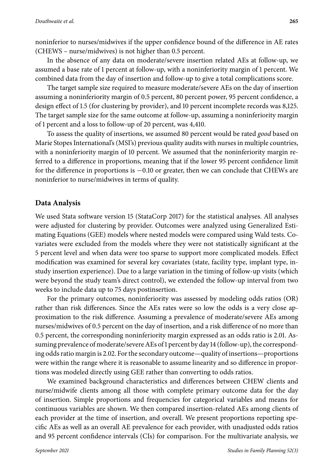noninferior to nurses/midwives if the upper confidence bound of the difference in AE rates (CHEWS – nurse/midwives) is not higher than 0.5 percent.

In the absence of any data on moderate/severe insertion related AEs at follow-up, we assumed a base rate of 1 percent at follow-up, with a noninferiority margin of 1 percent. We combined data from the day of insertion and follow-up to give a total complications score.

The target sample size required to measure moderate/severe AEs on the day of insertion assuming a noninferiority margin of 0.5 percent, 80 percent power, 95 percent confidence, a design effect of 1.5 (for clustering by provider), and 10 percent incomplete records was 8,125. The target sample size for the same outcome at follow-up, assuming a noninferiority margin of 1 percent and a loss to follow-up of 20 percent, was 4,410.

To assess the quality of insertions, we assumed 80 percent would be rated *good* based on Marie Stopes International's (MSI's) previous quality audits with nurses in multiple countries, with a noninferiority margin of 10 percent. We assumed that the noninferiority margin referred to a difference in proportions, meaning that if the lower 95 percent confidence limit for the difference in proportions is −0.10 or greater, then we can conclude that CHEWs are noninferior to nurse/midwives in terms of quality.

#### **Data Analysis**

We used Stata software version 15 (StataCorp 2017) for the statistical analyses. All analyses were adjusted for clustering by provider. Outcomes were analyzed using Generalized Estimating Equations (GEE) models where nested models were compared using Wald tests. Covariates were excluded from the models where they were not statistically significant at the 5 percent level and when data were too sparse to support more complicated models. Effect modification was examined for several key covariates (state, facility type, implant type, instudy insertion experience). Due to a large variation in the timing of follow-up visits (which were beyond the study team's direct control), we extended the follow-up interval from two weeks to include data up to 75 days postinsertion.

For the primary outcomes, noninferiority was assessed by modeling odds ratios (OR) rather than risk differences. Since the AEs rates were so low the odds is a very close approximation to the risk difference. Assuming a prevalence of moderate/severe AEs among nurses/midwives of 0.5 percent on the day of insertion, and a risk difference of no more than 0.5 percent, the corresponding noninferiority margin expressed as an odds ratio is 2.01. Assuming prevalence of moderate/severe AEs of 1 percent by day 14 (follow-up), the corresponding odds ratio margin is 2.02. For the secondary outcome—quality of insertions—proportions were within the range where it is reasonable to assume linearity and so difference in proportions was modeled directly using GEE rather than converting to odds ratios.

We examined background characteristics and differences between CHEW clients and nurse/midwife clients among all those with complete primary outcome data for the day of insertion. Simple proportions and frequencies for categorical variables and means for continuous variables are shown. We then compared insertion-related AEs among clients of each provider at the time of insertion, and overall. We present proportions reporting specific AEs as well as an overall AE prevalence for each provider, with unadjusted odds ratios and 95 percent confidence intervals (CIs) for comparison. For the multivariate analysis, we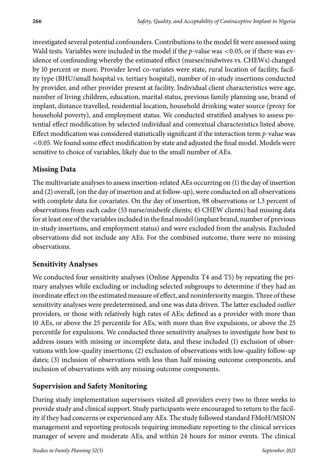investigated several potential confounders. Contributions to the model fit were assessed using Wald tests. Variables were included in the model if the *p*-value was <0.05, or if there was evidence of confounding whereby the estimated effect (nurses/midwives vs. CHEWs) changed by 10 percent or more. Provider level co-variates were state, rural location of facility, facility type (BHU/small hospital vs. tertiary hospital), number of in-study insertions conducted by provider, and other provider present at facility. Individual client characteristics were age, number of living children, education, marital status, previous family planning use, brand of implant, distance travelled, residential location, household drinking water source (proxy for household poverty), and employment status. We conducted stratified analyses to assess potential effect modification by selected individual and contextual characteristics listed above. Effect modification was considered statistically significant if the interaction term *p*-value was <0.05. We found some effect modification by state and adjusted the final model. Models were sensitive to choice of variables, likely due to the small number of AEs.

## **Missing Data**

The multivariate analyses to assess insertion-related AEs occurring on (1) the day of insertion and (2) overall, (on the day of insertion and at follow-up), were conducted on all observations with complete data for covariates. On the day of insertion, 98 observations or 1.3 percent of observations from each cadre (53 nurse/midwife clients; 45 CHEW clients) had missing data for at least one of the variables included in the final model (implant brand, number of previous in-study insertions, and employment status) and were excluded from the analysis. Excluded observations did not include any AEs. For the combined outcome, there were no missing observations.

## **Sensitivity Analyses**

We conducted four sensitivity analyses (Online Appendix T4 and T5) by repeating the primary analyses while excluding or including selected subgroups to determine if they had an inordinate effect on the estimated measure of effect, and noninferiority margin. Three of these sensitivity analyses were predetermined, and one was data driven. The latter excluded *outlier* providers, or those with relatively high rates of AEs; defined as a provider with more than 10 AEs, or above the 25 percentile for AEs, with more than five expulsions, or above the 25 percentile for expulsions. We conducted three sensitivity analyses to investigate how best to address issues with missing or incomplete data, and these included (1) exclusion of observations with low-quality insertions; (2) exclusion of observations with low-quality follow-up dates; (3) inclusion of observations with less than half missing outcome components, and inclusion of observations with any missing outcome components.

## **Supervision and Safety Monitoring**

During study implementation supervisors visited all providers every two to three weeks to provide study and clinical support. Study participants were encouraged to return to the facility if they had concerns or experienced any AEs. The study followed standard FMoH/MSION management and reporting protocols requiring immediate reporting to the clinical services manager of severe and moderate AEs, and within 24 hours for minor events. The clinical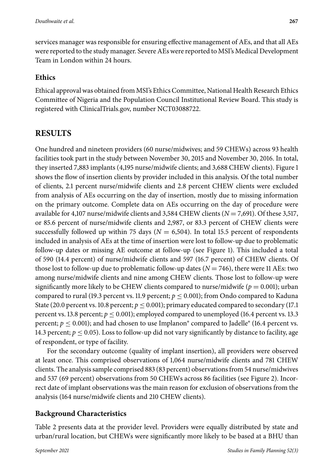services manager was responsible for ensuring effective management of AEs, and that all AEs were reported to the study manager. Severe AEs were reported to MSI's Medical Development Team in London within 24 hours.

## **Ethics**

Ethical approval was obtained from MSI's Ethics Committee, National Health Research Ethics Committee of Nigeria and the Population Council Institutional Review Board. This study is registered with ClinicalTrials.gov, number NCT03088722.

# **RESULTS**

One hundred and nineteen providers (60 nurse/midwives; and 59 CHEWs) across 93 health facilities took part in the study between November 30, 2015 and November 30, 2016. In total, they inserted 7,883 implants (4,195 nurse/midwife clients; and 3,688 CHEW clients). Figure 1 shows the flow of insertion clients by provider included in this analysis. Of the total number of clients, 2.1 percent nurse/midwife clients and 2.8 percent CHEW clients were excluded from analysis of AEs occurring on the day of insertion, mostly due to missing information on the primary outcome. Complete data on AEs occurring on the day of procedure were available for 4,107 nurse/midwife clients and 3,584 CHEW clients (*N* = 7,691). Of these 3,517, or 85.6 percent of nurse/midwife clients and 2,987, or 83.3 percent of CHEW clients were successfully followed up within 75 days ( $N = 6,504$ ). In total 15.5 percent of respondents included in analysis of AEs at the time of insertion were lost to follow-up due to problematic follow-up dates or missing AE outcome at follow-up (see Figure 1). This included a total of 590 (14.4 percent) of nurse/midwife clients and 597 (16.7 percent) of CHEW clients. Of those lost to follow-up due to problematic follow-up dates  $(N = 746)$ , there were 11 AEs: two among nurse/midwife clients and nine among CHEW clients. Those lost to follow-up were significantly more likely to be CHEW clients compared to nurse/midwife ( $p = 0.001$ ); urban compared to rural (19.3 percent vs. 11.9 percent;  $p \le 0.001$ ); from Ondo compared to Kaduna State (20.0 percent vs. 10.8 percent;  $p \le 0.001$ ); primary educated compared to secondary (17.1) percent vs. 13.8 percent;  $p \leq 0.001$ ); employed compared to unemployed (16.4 percent vs. 13.3 percent;  $p \leq 0.001$ ); and had chosen to use Implanon<sup>®</sup> compared to Jadelle<sup>®</sup> (16.4 percent vs. 14.3 percent;  $p \leq 0.05$ ). Loss to follow-up did not vary significantly by distance to facility, age of respondent, or type of facility.

For the secondary outcome (quality of implant insertion), all providers were observed at least once. This comprised observations of 1,064 nurse/midwife clients and 781 CHEW clients. The analysis sample comprised 883 (83 percent) observations from 54 nurse/midwives and 537 (69 percent) observations from 50 CHEWs across 86 facilities (see Figure 2). Incorrect date of implant observations was the main reason for exclusion of observations from the analysis (164 nurse/midwife clients and 210 CHEW clients).

## **Background Characteristics**

Table 2 presents data at the provider level. Providers were equally distributed by state and urban/rural location, but CHEWs were significantly more likely to be based at a BHU than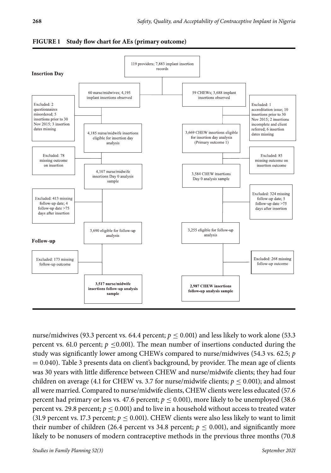



nurse/midwives (93.3 percent vs. 64.4 percent;  $p \le 0.001$ ) and less likely to work alone (53.3 percent vs. 61.0 percent;  $p \le 0.001$ ). The mean number of insertions conducted during the study was significantly lower among CHEWs compared to nurse/midwives (54.3 vs. 62.5; *p*  $= 0.040$ ). Table 3 presents data on client's background, by provider. The mean age of clients was 30 years with little difference between CHEW and nurse/midwife clients; they had four children on average (4.1 for CHEW vs. 3.7 for nurse/midwife clients;  $p \le 0.001$ ); and almost all were married. Compared to nurse/midwife clients, CHEW clients were less educated (57.6 percent had primary or less vs. 47.6 percent;  $p \le 0.001$ ), more likely to be unemployed (38.6) percent vs. 29.8 percent;  $p \le 0.001$ ) and to live in a household without access to treated water (31.9 percent vs. 17.3 percent;  $p \le 0.001$ ). CHEW clients were also less likely to want to limit their number of children (26.4 percent vs 34.8 percent;  $p \le 0.001$ ), and significantly more likely to be nonusers of modern contraceptive methods in the previous three months (70.8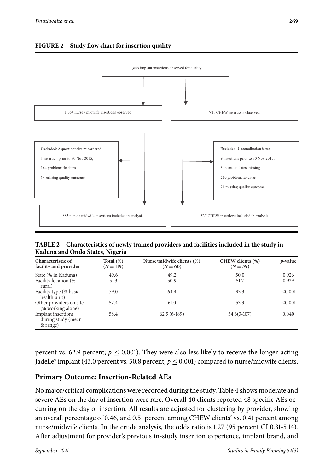



**TABLE Characteristics of newly trained providers and facilities included in the study in Kaduna and Ondo States, Nigeria**

| Characteristic of<br>facility and provider           | Total $(\%)$<br>$(N = 119)$ | Nurse/midwife clients (%)<br>$(N = 60)$ | CHEW clients (%)<br>$(N = 59)$ | $p$ -value |
|------------------------------------------------------|-----------------------------|-----------------------------------------|--------------------------------|------------|
| State (% in Kaduna)                                  | 49.6                        | 49.2                                    | 50.0                           | 0.926      |
| Facility location (%<br>rural)                       | 51.3                        | 50.9                                    | 51.7                           | 0.929      |
| Facility type (% basic<br>health unit)               | 79.0                        | 64.4                                    | 93.3                           | < 0.001    |
| Other providers on site<br>(% working alone)         | 57.4                        | 61.0                                    | 53.3                           | < 0.001    |
| Implant insertions<br>during study (mean<br>& range) | 58.4                        | $62.5(6-189)$                           | $54.3(3-107)$                  | 0.040      |

percent vs. 62.9 percent;  $p \le 0.001$ ). They were also less likely to receive the longer-acting Jadelle® implant (43.0 percent vs. 50.8 percent;  $p \le 0.001$ ) compared to nurse/midwife clients.

#### **Primary Outcome: Insertion-Related AEs**

No major/critical complications were recorded during the study. Table 4 shows moderate and severe AEs on the day of insertion were rare. Overall 40 clients reported 48 specific AEs occurring on the day of insertion. All results are adjusted for clustering by provider, showing an overall percentage of 0.46, and 0.51 percent among CHEW clients' vs. 0.41 percent among nurse/midwife clients. In the crude analysis, the odds ratio is 1.27 (95 percent CI 0.31-5.14). After adjustment for provider's previous in-study insertion experience, implant brand, and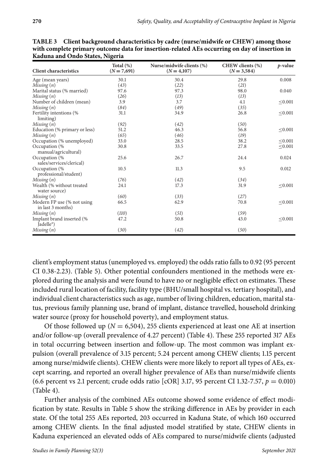| <b>Client characteristics</b>                       | Total $(\%)$<br>$(N = 7,691)$ | Nurse/midwife clients (%)<br>$(N = 4,107)$ | CHEW clients (%)<br>$(N = 3, 584)$ | $p$ -value   |
|-----------------------------------------------------|-------------------------------|--------------------------------------------|------------------------------------|--------------|
| Age (mean years)                                    | 30.1                          | 30.4                                       | 29.8                               | 0.008        |
| Missing(n)                                          | (43)                          | (22)                                       | (21)                               |              |
| Marital status (% married)                          | 97.6                          | 97.3                                       | 98.0                               | 0.040        |
| Missing(n)                                          | (26)                          | (13)                                       | (13)                               |              |
| Number of children (mean)                           | 3.9                           | 3.7                                        | 4.1                                | $\leq 0.001$ |
| Missing(n)                                          | (84)                          | (49)                                       | (35)                               |              |
| Fertility intentions (%<br>limiting)                | 31.1                          | 34.9                                       | 26.8                               | $\leq 0.001$ |
| Missing(n)                                          | (92)                          | (42)                                       | (50)                               |              |
| Education (% primary or less)                       | 51.2                          | 46.3                                       | 56.8                               | < 0.001      |
| Missing(n)                                          | (65)                          | (46)                                       | (19)                               |              |
| Occupation (% unemployed)                           | 33.0                          | 28.5                                       | 38.2                               | < 0.001      |
| Occupation (%<br>manual/agricultural)               | 30.8                          | 33.5                                       | 27.8                               | $\leq 0.001$ |
| Occupation (%<br>sales/services/clerical)           | 25.6                          | 26.7                                       | 24.4                               | 0.024        |
| Occupation (%<br>professional/student)              | 10.5                          | 11.3                                       | 9.5                                | 0.012        |
| Missing(n)                                          | (76)                          | (42)                                       | (34)                               |              |
| Wealth (% without treated<br>water source)          | 24.1                          | 17.3                                       | 31.9                               | < 0.001      |
| Missing(n)                                          | (60)                          | (33)                                       | (27)                               |              |
| Modern FP use (% not using<br>in last 3 months)     | 66.5                          | 62.9                                       | 70.8                               | < 0.001      |
| Missing(n)                                          | (110)                         | (51)                                       | (59)                               |              |
| Implant brand inserted (%<br>Jadelle <sup>®</sup> ) | 47.2                          | 50.8                                       | 43.0                               | < 0.001      |
| Missing(n)                                          | (30)                          | (42)                                       | (50)                               |              |

**TABLE Client background characteristics by cadre (nurse/midwife or CHEW) among those with complete primary outcome data for insertion-related AEs occurring on day of insertion in Kaduna and Ondo States, Nigeria**

client's employment status (unemployed vs. employed) the odds ratio falls to 0.92 (95 percent CI 0.38-2.23). (Table 5). Other potential confounders mentioned in the methods were explored during the analysis and were found to have no or negligible effect on estimates. These included rural location of facility, facility type (BHU/small hospital vs. tertiary hospital), and individual client characteristics such as age, number of living children, education, marital status, previous family planning use, brand of implant, distance travelled, household drinking water source (proxy for household poverty), and employment status.

Of those followed up ( $N = 6,504$ ), 255 clients experienced at least one AE at insertion and/or follow-up (overall prevalence of 4.27 percent) (Table 4). These 255 reported 317 AEs in total occurring between insertion and follow-up. The most common was implant expulsion (overall prevalence of 3.15 percent; 5.24 percent among CHEW clients; 1.15 percent among nurse/midwife clients). CHEW clients were more likely to report all types of AEs, except scarring, and reported an overall higher prevalence of AEs than nurse/midwife clients (6.6 percent vs 2.1 percent; crude odds ratio [cOR] 3.17, 95 percent CI 1.32-7.57, *p* = 0.010) (Table 4).

Further analysis of the combined AEs outcome showed some evidence of effect modification by state. Results in Table 5 show the striking difference in AEs by provider in each state. Of the total 255 AEs reported, 203 occurred in Kaduna State, of which 160 occurred among CHEW clients. In the final adjusted model stratified by state, CHEW clients in Kaduna experienced an elevated odds of AEs compared to nurse/midwife clients (adjusted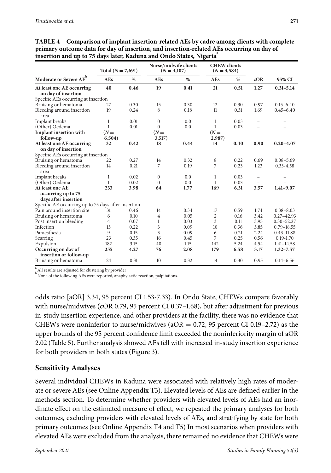|                                                     | Total $(N = 7,691)$ |      | Nurse/midwife clients<br>$(N = 4,107)$ |      | <b>CHEW</b> clients<br>$(N = 3, 584)$ |      |                          |                |
|-----------------------------------------------------|---------------------|------|----------------------------------------|------|---------------------------------------|------|--------------------------|----------------|
| Moderate or Severe AE <sup>b</sup>                  | AEs                 | $\%$ | AEs                                    | $\%$ | AEs                                   | %    | cOR                      | 95% CI         |
| At least one AE occurring<br>on day of insertion    | 40                  | 0.46 | 19                                     | 0.41 | 21                                    | 0.51 | 1.27                     | $0.31 - 5.14$  |
| Specific AEs occurring at insertion                 |                     |      |                                        |      |                                       |      |                          |                |
| Bruising or hematoma                                | 27                  | 0.30 | 15                                     | 0.30 | 12                                    | 0.30 | 0.97                     | $0.15 - 6.40$  |
| Bleeding around insertion<br>area                   | 19                  | 0.24 | 8                                      | 0.18 | 11                                    | 0.31 | 1.69                     | $0.45 - 6.40$  |
| Implant breaks                                      | $\mathbf{1}$        | 0.01 | $\mathbf{0}$                           | 0.0  | $\mathbf{1}$                          | 0.03 |                          |                |
| (Other) Oedema                                      | 1                   | 0.01 | $\Omega$                               | 0.0  | 1                                     | 0.03 |                          |                |
| <b>Implant insertion with</b>                       | $(N =$              |      | $(N =$                                 |      | $(N =$                                |      |                          |                |
| follow-up                                           | 6,504)              |      | 3,517)                                 |      | 2,987)                                |      |                          |                |
| At least one AE occurring                           | 32                  | 0.42 | 18                                     | 0.44 | 14                                    | 0.40 | 0.90                     | $0.20 - 4.07$  |
| on day of insertion                                 |                     |      |                                        |      |                                       |      |                          |                |
| Specific AEs occurring at insertion                 |                     |      |                                        |      |                                       |      |                          |                |
| Bruising or hematoma                                | 22                  | 0.27 | 14                                     | 0.32 | 8                                     | 0.22 | 0.69                     | $0.08 - 5.69$  |
| Bleeding around insertion                           | 14                  | 0.21 | 7                                      | 0.19 | 7                                     | 0.23 | 1.23                     | $0.33 - 4.58$  |
| area                                                |                     |      |                                        |      |                                       |      |                          |                |
| Implant breaks                                      | 1                   | 0.02 | $\mathbf{0}$                           | 0.0  | 1                                     | 0.03 | $\overline{\phantom{0}}$ |                |
| (Other) Oedema                                      | 1                   | 0.02 | $\mathbf{0}$                           | 0.0  | $\mathbf{1}$                          | 0.03 | $\overline{\phantom{0}}$ |                |
| At least one AE                                     | 233                 | 3.98 | 64                                     | 1.77 | 169                                   | 6.31 | 3.57                     | $1.41 - 9.07$  |
| occurring up to 75                                  |                     |      |                                        |      |                                       |      |                          |                |
| days after insertion                                |                     |      |                                        |      |                                       |      |                          |                |
| Specific AE occurring up to 75 days after insertion |                     |      |                                        |      |                                       |      |                          |                |
| Pain around insertion site                          | 31                  | 0.46 | 14                                     | 0.34 | 17                                    | 0.59 | 1.74                     | $0.38 - 8.03$  |
| Bruising or hematoma                                | 6                   | 0.10 | $\overline{4}$                         | 0.05 | $\overline{2}$                        | 0.16 | 3.42                     | $0.27 - 42.93$ |
| Post insertion bleeding                             | 4                   | 0.07 | 1                                      | 0.03 | 3                                     | 0.11 | 3.95                     | $0.30 - 52.27$ |
| Infection                                           | 13                  | 0.22 | 3                                      | 0.09 | 10                                    | 0.36 | 3.85                     | $0.79 - 18.55$ |
| Paraesthesia                                        | 9                   | 0.15 | 3                                      | 0.09 | 6                                     | 0.21 | 2.24                     | $0.43 - 11.88$ |
| Scarring                                            | 23                  | 0.35 | 16                                     | 0.45 | 7                                     | 0.25 | 0.56                     | $0.19 - 1.70$  |
| Expulsion                                           | 182                 | 3.15 | 40                                     | 1.15 | 142                                   | 5.24 | 4.54                     | $1.41 - 14.58$ |
| Occurring on day of                                 | 255                 | 4.27 | 76                                     | 2.08 | 179                                   | 6.58 | 3.17                     | $1.32 - 7.57$  |
| insertion or follow-up                              |                     |      |                                        |      |                                       |      |                          |                |
| Bruising or hematoma                                | 24                  | 0.31 | 10                                     | 0.32 | 14                                    | 0.30 | 0.95                     | $0.14 - 6.56$  |

**TABLE Comparison of implant insertion-related AEs by cadre among clients with complete primary outcome data for day of insertion, and insertion-related AEs occurring on day of insertion and up to days later, Kaduna and Ondo States, Nigeria<sup>a</sup>**

<sup>a</sup> All results are adjusted for clustering by provider

b<br>None of the following AEs were reported, anaphylactic reaction, palpitations.

odds ratio [aOR] 3.34, 95 percent CI 1.53-7.33). In Ondo State, CHEWs compare favorably with nurse/midwives (cOR 0.79, 95 percent CI 0.37–1.68), but after adjustment for previous in-study insertion experience, and other providers at the facility, there was no evidence that CHEWs were noninferior to nurse/midwives ( $aOR = 0.72$ , 95 percent CI 0.19–2.72) as the upper bounds of the 95 percent confidence limit exceeded the noninferiority margin of aOR 2.02 (Table 5). Further analysis showed AEs fell with increased in-study insertion experience for both providers in both states (Figure 3).

#### **Sensitivity Analyses**

Several individual CHEWs in Kaduna were associated with relatively high rates of moderate or severe AEs (see Online Appendix T3). Elevated levels of AEs are defined earlier in the methods section. To determine whether providers with elevated levels of AEs had an inordinate effect on the estimated measure of effect, we repeated the primary analyses for both outcomes, excluding providers with elevated levels of AEs, and stratifying by state for both primary outcomes (see Online Appendix T4 and T5) In most scenarios when providers with elevated AEs were excluded from the analysis, there remained no evidence that CHEWs were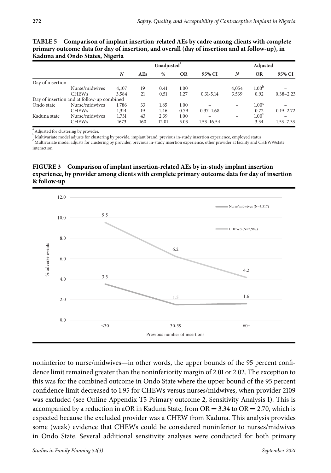| September 2021 |
|----------------|
|                |
|                |

|                  | Kaduna and Ondo States, Nigeria            |       |     |                         |           |               |       |                   |               |
|------------------|--------------------------------------------|-------|-----|-------------------------|-----------|---------------|-------|-------------------|---------------|
|                  |                                            |       |     | Unadjusted <sup>®</sup> |           |               |       | Adjusted          |               |
|                  |                                            | N     | AEs | %                       | <b>OR</b> | 95% CI        | N     | <b>OR</b>         | 95% CI        |
| Day of insertion |                                            |       |     |                         |           |               |       |                   |               |
|                  | Nurse/midwives                             | 4,107 | 19  | 0.41                    | 1.00      |               | 4,054 | 1.00 <sup>b</sup> |               |
|                  | <b>CHEWs</b>                               | 3,584 | 21  | 0.51                    | 1.27      | $0.31 - 5.14$ | 3,539 | 0.92              | $0.38 - 2.23$ |
|                  | Day of insertion and at follow-up combined |       |     |                         |           |               |       |                   |               |
| Ondo state       | Nurse/midwives                             | 1,786 | 33  | 1.85                    | 1.00      |               |       | 1.00 <sup>c</sup> |               |

Nurse/midwives 1,786 33 1.85 1.00 – – 1.00<sup>c</sup> –<br>CHEWs 1.314 19 1.46 0.79 0.37–1.68 – 0.72 0.19–2.72 CHEWs 1,314 19 1.46 0.79 0.37–1.68 – 0.72 0.19–2.72

CHEWs 1673 160 12.01 5.03 1.53–16.54 – 3.34 1.53–7.33

**TABLE Comparison of implant insertion-related AEs by cadre among clients with complete primary outcome data for day of insertion, and overall (day of insertion and at follow-up), in**

 $\sum_{b=1}^{a}$  Adjusted for clustering by provider.

Multivariate model adjusts for clustering by provide, implant brand, previous in-study insertion experience, employed status

Kaduna state Nurse/midwives 1,731 43 2.39 1.00 – – 1.00<sup>°</sup> CHEWs 1673 160 12.01 5.03 1.53–16.54 – 3.34

c Multivariate model adjusts for clustering by provider, previous in-study insertion experience, other provider at facility and CHEW##state interaction

**FIGURE Comparison of implant insertion-related AEs by in-study implant insertion experience, by provider among clients with complete primary outcome data for day of insertion & follow-up**



noninferior to nurse/midwives—in other words, the upper bounds of the 95 percent confidence limit remained greater than the noninferiority margin of 2.01 or 2.02. The exception to this was for the combined outcome in Ondo State where the upper bound of the 95 percent confidence limit decreased to 1.95 for CHEWs versus nurses/midwives, when provider 2109 was excluded (see Online Appendix T5 Primary outcome 2, Sensitivity Analysis 1). This is accompanied by a reduction in aOR in Kaduna State, from  $OR = 3.34$  to  $OR = 2.70$ , which is expected because the excluded provider was a CHEW from Kaduna. This analysis provides some (weak) evidence that CHEWs could be considered noninferior to nurses/midwives in Ondo State. Several additional sensitivity analyses were conducted for both primary

 $1.53 - 7.33$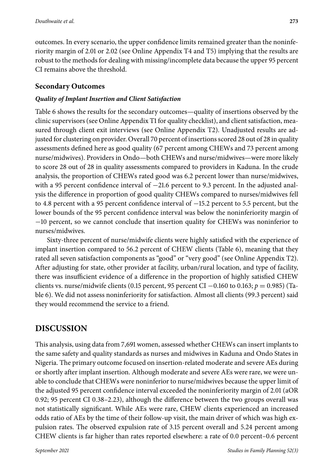outcomes. In every scenario, the upper confidence limits remained greater than the noninferiority margin of 2.01 or 2.02 (see Online Appendix T4 and T5) implying that the results are robust to the methods for dealing with missing/incomplete data because the upper 95 percent

# **Secondary Outcomes**

CI remains above the threshold.

#### *Quality of Implant Insertion and Client Satisfaction*

Table 6 shows the results for the secondary outcomes—quality of insertions observed by the clinic supervisors (see Online Appendix T1 for quality checklist), and client satisfaction, measured through client exit interviews (see Online Appendix T2). Unadjusted results are adjusted for clustering on provider. Overall 70 percent of insertions scored 28 out of 28 in quality assessments defined here as good quality (67 percent among CHEWs and 73 percent among nurse/midwives). Providers in Ondo—both CHEWs and nurse/midwives—were more likely to score 28 out of 28 in quality assessments compared to providers in Kaduna. In the crude analysis, the proportion of CHEWs rated good was 6.2 percent lower than nurse/midwives, with a 95 percent confidence interval of −21.6 percent to 9.3 percent. In the adjusted analysis the difference in proportion of good quality CHEWs compared to nurses/midwives fell to 4.8 percent with a 95 percent confidence interval of −15.2 percent to 5.5 percent, but the lower bounds of the 95 percent confidence interval was below the noninferiority margin of −10 percent, so we cannot conclude that insertion quality for CHEWs was noninferior to nurses/midwives.

Sixty-three percent of nurse/midwife clients were highly satisfied with the experience of implant insertion compared to 56.2 percent of CHEW clients (Table 6), meaning that they rated all seven satisfaction components as "good" or "very good" (see Online Appendix T2). After adjusting for state, other provider at facility, urban/rural location, and type of facility, there was insufficient evidence of a difference in the proportion of highly satisfied CHEW clients vs. nurse/midwife clients (0.15 percent, 95 percent CI −0.160 to 0.163; *p* = 0.985) (Table 6). We did not assess noninferiority for satisfaction. Almost all clients (99.3 percent) said they would recommend the service to a friend.

# **DISCUSSION**

This analysis, using data from 7,691 women, assessed whether CHEWs can insert implants to the same safety and quality standards as nurses and midwives in Kaduna and Ondo States in Nigeria. The primary outcome focused on insertion-related moderate and severe AEs during or shortly after implant insertion. Although moderate and severe AEs were rare, we were unable to conclude that CHEWs were noninferior to nurse/midwives because the upper limit of the adjusted 95 percent confidence interval exceeded the noninferiority margin of 2.01 (aOR 0.92; 95 percent CI 0.38–2.23), although the difference between the two groups overall was not statistically significant. While AEs were rare, CHEW clients experienced an increased odds ratio of AEs by the time of their follow-up visit, the main driver of which was high expulsion rates. The observed expulsion rate of 3.15 percent overall and 5.24 percent among CHEW clients is far higher than rates reported elsewhere: a rate of 0.0 percent–0.6 percent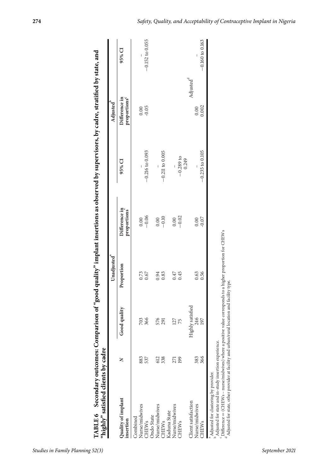|                                 |                  | Unadjusted <sup>"</sup> |                                              |                      | Adjusted                                  |                     |
|---------------------------------|------------------|-------------------------|----------------------------------------------|----------------------|-------------------------------------------|---------------------|
| Quality of implant<br>insertion | Good quality     | Proportion              | Difference in<br>proportions                 | 95% CI               | proportions <sup>c</sup><br>Difference in | 95% CI              |
| Combined                        |                  |                         |                                              |                      |                                           |                     |
| 883<br>Nurse/midwives           | 703              |                         |                                              |                      |                                           |                     |
| 537<br><b>CHEW<sub>s</sub></b>  | 366              | $0.73$<br>$0.67$        | $\begin{array}{c} 0.00 \\ -0.06 \end{array}$ | $-0.216$ to $0.093$  |                                           | $-0.152$ to $0.055$ |
| Ondo State                      |                  |                         |                                              |                      |                                           |                     |
| 612<br>Nurse/midwives           | 576              | 0.94                    | 0.00                                         |                      |                                           |                     |
| 338<br><b>CHEWs</b>             | 291              | 0.83                    | $-0.10$                                      | $-0.211$ to $0.005$  |                                           |                     |
| Kaduna State                    |                  |                         |                                              |                      |                                           |                     |
| 271<br>Nurse/midwives           | 127              | 0.47                    | 0.00                                         |                      |                                           |                     |
| 199<br>CHEWs                    | 75               | 0.45                    | $-0.02$                                      | $-0.289$ to<br>0.249 |                                           |                     |
| Client satisfaction             | Highly satisfied |                         |                                              |                      | Adjusted <sup>d</sup>                     |                     |
| 383<br>Nurse/midwives           | 246              | 0.63                    | 0.00                                         |                      | 0.00                                      |                     |
| 366<br><b>CHEWs</b>             | 197              | 0.56                    | $-0.07$                                      | $-0.235$ to 0.105    | 0.002                                     | $-0.160$ to 0.163   |

Secondary outcomes: Comparison of "good quality" implant insertions as observed by supervisors, by cadre, stratified by state, and TABLE 6

*Studies in Family Planning 52(3)* September 2021

 $c$ Difference  $=$ 

(CHEWs – nurse/midwives) where a positive value corresponds to a higher proportion for CHEWs

 $^{\rm d}$  Adjusted for state, other provider at facility and urban/rural location and facility type.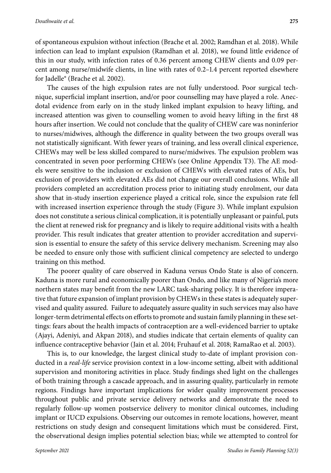of spontaneous expulsion without infection (Brache et al. 2002; Ramdhan et al. 2018). While infection can lead to implant expulsion (Ramdhan et al. 2018), we found little evidence of this in our study, with infection rates of 0.36 percent among CHEW clients and 0.09 percent among nurse/midwife clients, in line with rates of 0.2–1.4 percent reported elsewhere for Jadelle® (Brache et al. 2002).

The causes of the high expulsion rates are not fully understood. Poor surgical technique, superficial implant insertion, and/or poor counselling may have played a role. Anecdotal evidence from early on in the study linked implant expulsion to heavy lifting, and increased attention was given to counselling women to avoid heavy lifting in the first 48 hours after insertion. We could not conclude that the quality of CHEW care was noninferior to nurses/midwives, although the difference in quality between the two groups overall was not statistically significant. With fewer years of training, and less overall clinical experience, CHEWs may well be less skilled compared to nurse/midwives. The expulsion problem was concentrated in seven poor performing CHEWs (see Online Appendix T3). The AE models were sensitive to the inclusion or exclusion of CHEWs with elevated rates of AEs, but exclusion of providers with elevated AEs did not change our overall conclusions. While all providers completed an accreditation process prior to initiating study enrolment, our data show that in-study insertion experience played a critical role, since the expulsion rate fell with increased insertion experience through the study (Figure 3). While implant expulsion does not constitute a serious clinical complication, it is potentially unpleasant or painful, puts the client at renewed risk for pregnancy and is likely to require additional visits with a health provider. This result indicates that greater attention to provider accreditation and supervision is essential to ensure the safety of this service delivery mechanism. Screening may also be needed to ensure only those with sufficient clinical competency are selected to undergo training on this method.

The poorer quality of care observed in Kaduna versus Ondo State is also of concern. Kaduna is more rural and economically poorer than Ondo, and like many of Nigeria's more northern states may benefit from the new LARC task-sharing policy. It is therefore imperative that future expansion of implant provision by CHEWs in these states is adequately supervised and quality assured. Failure to adequately assure quality in such services may also have longer-term detrimental effects on efforts to promote and sustain family planning in these settings: fears about the health impacts of contraception are a well-evidenced barrier to uptake (Ajayi, Adeniyi, and Akpan 2018), and studies indicate that certain elements of quality can influence contraceptive behavior (Jain et al. 2014; Fruhauf et al. 2018; RamaRao et al. 2003).

This is, to our knowledge, the largest clinical study to-date of implant provision conducted in a *real-life* service provision context in a low-income setting, albeit with additional supervision and monitoring activities in place. Study findings shed light on the challenges of both training through a cascade approach, and in assuring quality, particularly in remote regions. Findings have important implications for wider quality improvement processes throughout public and private service delivery networks and demonstrate the need to regularly follow-up women postservice delivery to monitor clinical outcomes, including implant or IUCD expulsions. Observing our outcomes in remote locations, however, meant restrictions on study design and consequent limitations which must be considered. First, the observational design implies potential selection bias; while we attempted to control for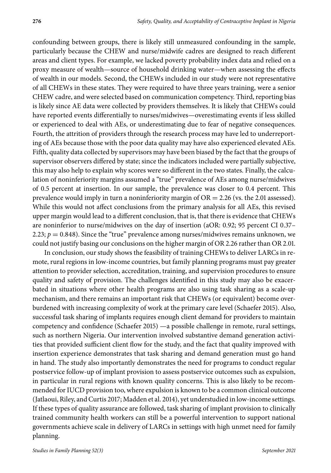confounding between groups, there is likely still unmeasured confounding in the sample, particularly because the CHEW and nurse/midwife cadres are designed to reach different areas and client types. For example, we lacked poverty probability index data and relied on a proxy measure of wealth—source of household drinking water—when assessing the effects of wealth in our models. Second, the CHEWs included in our study were not representative of all CHEWs in these states. They were required to have three years training, were a senior CHEW cadre, and were selected based on communication competency. Third, reporting bias is likely since AE data were collected by providers themselves. It is likely that CHEWs could have reported events differentially to nurses/midwives—overestimating events if less skilled or experienced to deal with AEs, or underestimating due to fear of negative consequences. Fourth, the attrition of providers through the research process may have led to underreporting of AEs because those with the poor data quality may have also experienced elevated AEs. Fifth, quality data collected by supervisors may have been biased by the fact that the groups of supervisor observers differed by state; since the indicators included were partially subjective, this may also help to explain why scores were so different in the two states. Finally, the calculation of noninferiority margins assumed a "true" prevalence of AEs among nurse/midwives of 0.5 percent at insertion. In our sample, the prevalence was closer to 0.4 percent. This prevalence would imply in turn a noninferiority margin of  $OR = 2.26$  (vs. the 2.01 assessed). While this would not affect conclusions from the primary analysis for all AEs, this revised upper margin would lead to a different conclusion, that is, that there is evidence that CHEWs are noninferior to nurse/midwives on the day of insertion (aOR: 0.92; 95 percent CI 0.37– 2.23;  $p = 0.848$ ). Since the "true" prevalence among nurses/midwives remains unknown, we could not justify basing our conclusions on the higher margin of OR 2.26 rather than OR 2.01.

In conclusion, our study shows the feasibility of training CHEWs to deliver LARCs in remote, rural regions in low-income countries, but family planning programs must pay greater attention to provider selection, accreditation, training, and supervision procedures to ensure quality and safety of provision. The challenges identified in this study may also be exacerbated in situations where other health programs are also using task sharing as a scale-up mechanism, and there remains an important risk that CHEWs (or equivalent) become overburdened with increasing complexity of work at the primary care level (Schaefer 2015). Also, successful task sharing of implants requires enough client demand for providers to maintain competency and confidence (Schaefer 2015) —a possible challenge in remote, rural settings, such as northern Nigeria. Our intervention involved substantive demand generation activities that provided sufficient client flow for the study, and the fact that quality improved with insertion experience demonstrates that task sharing and demand generation must go hand in hand. The study also importantly demonstrates the need for programs to conduct regular postservice follow-up of implant provision to assess postservice outcomes such as expulsion, in particular in rural regions with known quality concerns. This is also likely to be recommended for IUCD provision too, where expulsion is known to be a common clinical outcome (Jatlaoui, Riley, and Curtis 2017; Madden et al. 2014), yet understudied in low-income settings. If these types of quality assurance are followed, task sharing of implant provision to clinically trained community health workers can still be a powerful intervention to support national governments achieve scale in delivery of LARCs in settings with high unmet need for family planning.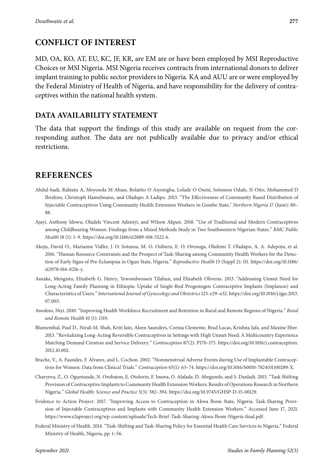# **CONFLICT OF INTEREST**

MD, OA, KO, AT, EU, KC, JF, KR, are EM are or have been employed by MSI Reproductive Choices or MSI Nigeria. MSI Nigeria receives contracts from international donors to deliver implant training to public sector providers in Nigeria. KA and AUU are or were employed by the Federal Ministry of Health of Nigeria, and have responsibility for the delivery of contraceptives within the national health system.

## **DATA AVAILABILITY STATEMENT**

The data that support the findings of this study are available on request from the corresponding author. The data are not publically available due to privacy and/or ethical restrictions.

# **REFERENCES**

- Abdul-hadi, Rabiatu A, Moyosola M Abass, Bolatito O Aiyenigba, Lolade O Oseni, Solomon Odafe, N Otto, Mohammed D Ibrahim, Christoph Hamelmann, and Oladapo A Ladipo. 2013. "The Effectiveness of Community Based Distribution of Injectable Contraceptives Using Community Health Extension Workers in Gombe State," *Northern Nigeria* 17 (June): 80– 88.
- Ajayi, Anthony Idowu, Oladele Vincent Adeniyi, and Wilson Akpan. 2018. "Use of Traditional and Modern Contraceptives among Childbearing Women: Findings from a Mixed Methods Study in Two Southwestern Nigerian States." *BMC Public Health* 18 (1): 1–9. [https://doi.org/10.1186/s12889-018-5522-6.](https://doi.org/10.1186/s12889-018-5522-6)
- Akeju, David O., Marianne Vidler, J. O. Sotunsa, M. O. Osiberu, E. O. Orenuga, Olufemi T. Oladapo, A. A. Adepoju, et al. 2016. "Human Resource Constraints and the Prospect of Task-Sharing among Community Health Workers for the Detection of Early Signs of Pre-Eclampsia in Ogun State, Nigeria." *Reproductive Health* 13 (Suppl 2): 111. [https://doi.org/10.1186/](https://doi.org/10.1186/s12978-016-0216-y) [s12978-016-0216-y.](https://doi.org/10.1186/s12978-016-0216-y)
- Asnake, Mengistu, Elizabeth G. Henry, Yewondwossen Tilahun, and Elizabeth Oliveras. 2013. "Addressing Unmet Need for Long-Acting Family Planning in Ethiopia: Uptake of Single-Rod Progestogen Contraceptive Implants (Implanon) and Characteristics of Users." *International Journal of Gynecology and Obstetrics* 123: e29–e32. [https://doi.org/10.1016/j.ijgo.2013.](https://doi.org/10.1016/j.ijgo.2013.07.003) [07.003.](https://doi.org/10.1016/j.ijgo.2013.07.003)
- Awofeso, Niyi. 2010. "Improving Health Workforce Recruitment and Retention in Rural and Remote Regions of Nigeria." *Rural and Remote Health* 10 (1): 1319.
- Blumenthal, Paul D., Nirali M. Shah, Kriti Jain, Aleen Saunders, Corina Clemente, Brad Lucas, Krishna Jafa, and Maxine Eber. 2013. "Revitalizing Long-Acting Reversible Contraceptives in Settings with High Unmet Need: A Multicountry Experience Matching Demand Creation and Service Delivery." *Contraception* 87(2): P170–175. [https://doi.org/10.1016/j.contraception.](https://doi.org/10.1016/j.contraception.2012.10.002) [2012.10.002.](https://doi.org/10.1016/j.contraception.2012.10.002)
- Brache, V., A. Faundes, F. Alvarez, and L. Cochon. 2002. "Nonmenstrual Adverse Events during Use of Implantable Contraceptives for Women: Data from Clinical Trials." *Contraception* 65(1): 63–74. [https://doi.org/10.1016/S0010-7824\(01\)00289-X.](https://doi.org/10.1016/S0010-7824(01)00289-X)
- Charyeva, Z., O. Oguntunde, N. Orobaton, E. Otolorin, F. Inuwa, O. Alalade, D. Abegunde, and S. Danladi. 2015. "Task Shifting Provision of Contraceptive Implants to Community Health Extension Workers: Results of Operations Research in Northern Nigeria." *Global Health: Science and Practice* 3(3): 382–394. [https://doi.org/10.9745/GHSP-D-15-00129.](https://doi.org/10.9745/GHSP-D-15-00129)
- Evidence to Action Project. 2017. "Improving Access to Contraception in Akwa Ibom State, Nigeria: Task-Sharing Provision of Injectable Contraceptives and Implants with Community Health Extension Workers." Accessed June 17, 2021. [https://www.e2aproject.org/wp-content/uploads/Tech-Brief -Task-Sharing-Akwa-Ibom-Nigeria-final.pdf.](https://www.e2aproject.org/wp-content/uploads/Tech-Brief-Task-Sharing-Akwa-Ibom-Nigeria-final.pdf)
- Federal Ministry of Health. 2014. "Task-Shifting and Task-Sharing Policy for Essential Health Care Services in Nigeria," Federal Ministry of Health, Nigeria, pp. 1–56.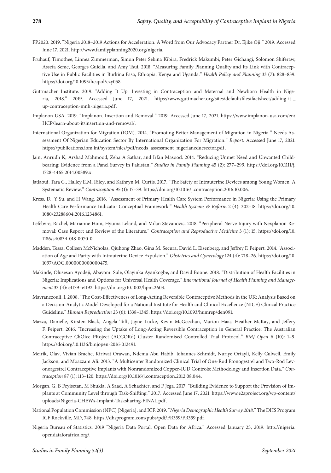- FP2020. 2019. "Nigeria 2018–2019 Actions for Acceleration. A Word from Our Advocacy Partner Dr. Ejike Oji." 2019. Accessed June 17, 2021. [http://www.familyplanning2020.org/nigeria.](http://www.familyplanning2020.org/nigeria)
- Fruhauf, Timothee, Linnea Zimmerman, Simon Peter Sebina Kibira, Fredrick Makumbi, Peter Gichangi, Solomon Shiferaw, Assefa Seme, Georges Guiella, and Amy Tsui. 2018. "Measuring Family Planning Quality and Its Link with Contraceptive Use in Public Facilities in Burkina Faso, Ethiopia, Kenya and Uganda." *Health Policy and Planning* 33 (7): 828–839. [https://doi.org/10.1093/heapol/czy058.](https://doi.org/10.1093/heapol/czy058)
- Guttmacher Institute. 2019. "Adding It Up: Investing in Contraception and Maternal and Newborn Health in Nigeria, 2018." 2019. Accessed June 17, 2021. [https://www.guttmacher.org/sites/default/files/factsheet/adding-it-\\_](https://www.guttmacher.org/sites/default/files/factsheet/adding-it-_up-contraception-mnh-nigeria.pdf) [up-contraception-mnh-nigeria.pdf.](https://www.guttmacher.org/sites/default/files/factsheet/adding-it-_up-contraception-mnh-nigeria.pdf)
- Implanon USA. 2019. "Implanon. Insertion and Removal." 2019. Accessed June 17, 2021. [https://www.implanon-usa.com/en/](https://www.implanon-usa.com/en/HCP/learn-about-it/insertion-and-removal/) [HCP/learn-about-it/insertion-and-removal/.](https://www.implanon-usa.com/en/HCP/learn-about-it/insertion-and-removal/)
- International Organization for Migration (IOM). 2014. "Promoting Better Management of Migration in Nigeria " Needs Assessment Of Nigerian Education Sector By International Organization For Migration." *Report*. Accessed June 17, 2021. [https://publications.iom.int/system/files/pdf/needs\\_assessment\\_nigerianeducsector.pdf.](https://publications.iom.int/system/files/pdf/needs_assessment_nigerianeducsector.pdf)
- Jain, Anrudh K, Arshad Mahmood, Zeba A Sathar, and Irfan Masood. 2014. "Reducing Unmet Need and Unwanted Childbearing: Evidence from a Panel Survey in Pakistan." *Studies in Family Planning* 45 (2): 277–299. [https://doi.org/10.1111/j.](https://doi.org/10.1111/j.1728-4465.2014.00389.x) [1728-4465.2014.00389.x.](https://doi.org/10.1111/j.1728-4465.2014.00389.x)
- Jatlaoui, Tara C., Halley E.M. Riley, and Kathryn M. Curtis. 2017. "The Safety of Intrauterine Devices among Young Women: A Systematic Review." *Contraception* 95 (1): 17–39. [https://doi.org/10.1016/j.contraception.2016.10.006.](https://doi.org/10.1016/j.contraception.2016.10.006)
- Kress, D., Y Su, and H Wang. 2016. "Assessment of Primary Health Care System Performance in Nigeria: Using the Primary Health Care Performance Indicator Conceptual Framework." *Health Systems & Reform* 2 (4): 302–18. [https://doi.org/10.](https://doi.org/10.1080/23288604.2016.1234861) [1080/23288604.2016.1234861.](https://doi.org/10.1080/23288604.2016.1234861)
- Lefebvre, Rachel, Marianne Hom, Hyuma Leland, and Milan Stevanovic. 2018. "Peripheral Nerve Injury with Nexplanon Removal: Case Report and Review of the Literature." *Contraception and Reproductive Medicine* 3 (1): 15. [https://doi.org/10.](https://doi.org/10.1186/s40834-018-0070-0) [1186/s40834-018-0070-0.](https://doi.org/10.1186/s40834-018-0070-0)
- Madden, Tessa, Colleen McNicholas, Qiuhong Zhao, Gina M. Secura, David L. Eisenberg, and Jeffrey F. Peipert. 2014. "Association of Age and Parity with Intrauterine Device Expulsion." *Obstetrics and Gynecology* 124 (4): 718–26. [https://doi.org/10.](https://doi.org/10.1097/AOG.0000000000000475) [1097/AOG.0000000000000475.](https://doi.org/10.1097/AOG.0000000000000475)
- Makinde, Olusesan Ayodeji, Abayomi Sule, Olayinka Ayankogbe, and David Boone. 2018. "Distribution of Health Facilities in Nigeria: Implications and Options for Universal Health Coverage." *International Journal of Health Planning and Management* 33 (4): e1179–e1192. [https://doi.org/10.1002/hpm.2603.](https://doi.org/10.1002/hpm.2603)
- Mavranezouli, I. 2008. "The Cost-Effectiveness of Long-Acting Reversible Contraceptive Methods in the UK: Analysis Based on a Decision-Analytic Model Developed for a National Institute for Health and Clinical Excellence (NICE) Clinical Practice Guideline." *Human Reproduction* 23 (6): 1338–1345. [https://doi.org/10.1093/humrep/den091.](https://doi.org/10.1093/humrep/den091)
- Mazza, Danielle, Kirsten Black, Angela Taft, Jayne Lucke, Kevin McGeechan, Marion Haas, Heather McKay, and Jeffery F. Peipert. 2016. "Increasing the Uptake of Long-Acting Reversible Contraception in General Practice: The Australian Contraceptive ChOice PRoject (ACCORd) Cluster Randomised Controlled Trial Protocol." *BMJ Open* 6 (10): 1–9. [https://doi.org/10.1136/bmjopen-2016-012491.](https://doi.org/10.1136/bmjopen-2016-012491)
- Meirik, Olav, Vivian Brache, Kiriwat Orawan, Ndema Abu Habib, Johannes Schmidt, Nuriye Ortayli, Kelly Culwell, Emily Jackson, and Moazzam Ali. 2013. "A Multicenter Randomized Clinical Trial of One-Rod Etonogestrel and Two-Rod Levonorgestrel Contraceptive Implants with Nonrandomized Copper-IUD Controls: Methodology and Insertion Data." *Contraception* 87 (1): 113–120. [https://doi.org/10.1016/j.contraception.2012.08.044.](https://doi.org/10.1016/j.contraception.2012.08.044)
- Morgan, G, B Feyisetan, M Shukla, A Saad, A Schachter, and F Jega. 2017. "Building Evidence to Support the Provision of Implants at Community Level through Task-Shifting." 2017. Accessed June 17, 2021. [https://www.e2aproject.org/wp-content/](https://www.e2aproject.org/wp-content/uploads/Nigeria-CHEWs-Implant-Tasksharing-FINAL.pdf) [uploads/Nigeria-CHEWs-Implant-Tasksharing-FINAL.pdf.](https://www.e2aproject.org/wp-content/uploads/Nigeria-CHEWs-Implant-Tasksharing-FINAL.pdf)
- National Population Commission (NPC) [Nigeria], and ICF. 2019. "*Nigeria Demographic Health Survey 2018*." The DHS Program ICF Rockville, MD, 748. [https://dhsprogram.com/pubs/pdf/FR359/FR359.pdf.](https://dhsprogram.com/pubs/pdf/FR359/FR359.pdf)
- Nigeria Bureau of Statistics. 2019 "Nigeria Data Portal. Open Data for Africa." Accessed January 25, 2019. [http://nigeria.](http://nigeria.opendataforafrica.org/) [opendataforafrica.org/.](http://nigeria.opendataforafrica.org/)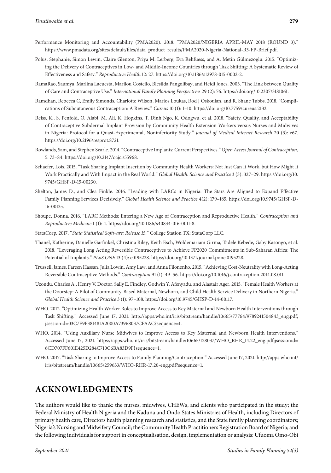- Performance Monitoring and Accountability (PMA2020). 2018. "PMA2020/NIGERIA APRIL-MAY 2018 (ROUND 3)." [https://www.pmadata.org/sites/default/files/data\\_product\\_results/PMA2020-Nigeria-National-R3-FP-Brief.pdf.](https://www.pmadata.org/sites/default/files/data_product_results/PMA2020-Nigeria-National-R3-FP-Brief.pdf)
- Polus, Stephanie, Simon Lewin, Claire Glenton, Priya M. Lerberg, Eva Rehfuess, and A. Metin Gülmezoglu. 2015. "Optimizing the Delivery of Contraceptives in Low- and Middle-Income Countries through Task Shifting: A Systematic Review of Effectiveness and Safety." *Reproductive Health* 12: 27. [https://doi.org/10.1186/s12978-015-0002-2.](https://doi.org/10.1186/s12978-015-0002-2)
- RamaRao, Saumya, Marlina Lacuesta, Marilou Costello, Blesilda Pangolibay, and Heidi Jones. 2003. "The Link between Quality of Care and Contraceptive Use." *International Family Planning Perspectives* 29 (2): 76. [https://doi.org/10.2307/3181061.](https://doi.org/10.2307/3181061)
- Ramdhan, Rebecca C, Emily Simonds, Charlotte Wilson, Marios Loukas, Rod J Oskouian, and R. Shane Tubbs. 2018. "Complications of Subcutaneous Contraception: A Review." *Cureus* 10 (1): 1–10. [https://doi.org/10.7759/cureus.2132.](https://doi.org/10.7759/cureus.2132)
- Reiss, K., S. Penfold, O. Alabi, M. Ali, K. Hopkins, T. Dinh Ngo, K. Odogwu, et al. 2018. "Safety, Quality, and Acceptability of Contraceptive Subdermal Implant Provision by Community Health Extension Workers versus Nurses and Midwives in Nigeria: Protocol for a Quasi-Experimental, Noninferiority Study." *Journal of Medical Internet Research* 20 (3): e67. [https://doi.org/10.2196/resprot.8721.](https://doi.org/10.2196/resprot.8721)
- Rowlands, Sam, and Stephen Searle. 2014. "Contraceptive Implants: Current Perspectives." *Open Access Journal of Contraception*, 5: 73–84. [https://doi.org/10.2147/oajc.s55968.](https://doi.org/10.2147/oajc.s55968)
- Schaefer, Lois. 2015. "Task Sharing Implant Insertion by Community Health Workers: Not Just Can It Work, but How Might It Work Practically and With Impact in the Real World." *Global Health: Science and Practice* 3 (3): 327–29. [https://doi.org/10.](https://doi.org/10.9745/GHSP-D-15-00230) [9745/GHSP-D-15-00230.](https://doi.org/10.9745/GHSP-D-15-00230)
- Shelton, James D., and Clea Finkle. 2016. "Leading with LARCs in Nigeria: The Stars Are Aligned to Expand Effective Family Planning Services Decisively." *Global Health Science and Practice* 4(2): 179–185. [https://doi.org/10.9745/GHSP-D-](https://doi.org/10.9745/GHSP-D-16-00135)[16-00135.](https://doi.org/10.9745/GHSP-D-16-00135)
- Shoupe, Donna. 2016. "LARC Methods: Entering a New Age of Contraception and Reproductive Health." *Contraception and Reproductive Medicine* 1 (1): 4. [https://doi.org/10.1186/s40834-016-0011-8.](https://doi.org/10.1186/s40834-016-0011-8)
- StataCorp. 2017. "Stata Statistical Software: Release 15." College Station TX: StataCorp LLC.
- Thanel, Katherine, Danielle Garfinkel, Christina Riley, Keith Esch, Woldemariam Girma, Tadele Kebede, Gaby Kasongo, et al. 2018. "Leveraging Long Acting Reversible Contraceptives to Achieve FP2020 Commitments in Sub-Saharan Africa: The Potential of Implants." *PLoS ONE* 13 (4): e0195228. [https://doi.org/10.1371/journal.pone.0195228.](https://doi.org/10.1371/journal.pone.0195228)
- Trussell, James, Fareen Hassan, Julia Lowin, Amy Law, and Anna Filonenko. 2015. "Achieving Cost-Neutrality with Long-Acting Reversible Contraceptive Methods." *Contraception* 91 (1): 49–56. [https://doi.org/10.1016/j.contraception.2014.08.011.](https://doi.org/10.1016/j.contraception.2014.08.011)
- Uzondu, Charles A., Henry V. Doctor, Sally E. Findley, Godwin Y. Afenyadu, and Alastair Ager. 2015. "Female Health Workers at the Doorstep: A Pilot of Community-Based Maternal, Newborn, and Child Health Service Delivery in Northern Nigeria." *Global Health Science and Practice* 3 (1): 97–108. [https://doi.org/10.9745/GHSP-D-14-00117.](https://doi.org/10.9745/GHSP-D-14-00117)
- WHO. 2012. "Optimizing Health Worker Roles to Improve Access to Key Maternal and Newborn Health Interventions through Task Shifting." Accessed June 17, 2021. [http://apps.who.int/iris/bitstream/handle/10665/77764/9789241504843\\_eng.pdf;](http://apps.who.int/iris/bitstream/handle/10665/77764/9789241504843_eng.pdf;jsessionid=03C7E9F381481A2000A73968037CFAAC?sequence=1) [jsessionid=03C7E9F381481A2000A73968037CFAAC?sequence=1.](http://apps.who.int/iris/bitstream/handle/10665/77764/9789241504843_eng.pdf;jsessionid=03C7E9F381481A2000A73968037CFAAC?sequence=1)
- WHO. 2014. "Using Auxiliary Nurse Midwives to Improve Access to Key Maternal and Newborn Health Interventions." Accessed June 17, 2021. [https://apps.who.int/iris/bitstream/handle/10665/128037/WHO\\_RHR\\_14.22\\_eng.pdf;jsessionid=](https://apps.who.int/iris/bitstream/handle/10665/128037/WHO_RHR_14.22_eng.pdf;jsessionid=6CD707FF601E425D284C710C6BA83D9F?sequence=1) [6CD707FF601E425D284C710C6BA83D9F?sequence=1.](https://apps.who.int/iris/bitstream/handle/10665/128037/WHO_RHR_14.22_eng.pdf;jsessionid=6CD707FF601E425D284C710C6BA83D9F?sequence=1)
- WHO. 2017. "Task Sharing to Improve Access to Family Planning/Contraception." Accessed June 17, 2021. [http://apps.who.int/](http://apps.who.int/iris/bitstream/handle/10665/259633/WHO-RHR-17.20-eng.pdf?sequence=1) [iris/bitstream/handle/10665/259633/WHO-RHR-17.20-eng.pdf?sequence=1.](http://apps.who.int/iris/bitstream/handle/10665/259633/WHO-RHR-17.20-eng.pdf?sequence=1)

## **ACKNOWLEDGMENTS**

The authors would like to thank: the nurses, midwives, CHEWs, and clients who participated in the study; the Federal Ministry of Health Nigeria and the Kaduna and Ondo States Ministries of Health, including Directors of primary health care, Directors health planning research and statistics, and the State family planning coordinators; Nigeria's Nursing and Midwifery Council; the Community Health Practitioners Registration Board of Nigeria; and the following individuals for support in conceptualisation, design, implementation or analysis: Ufuoma Omo-Obi